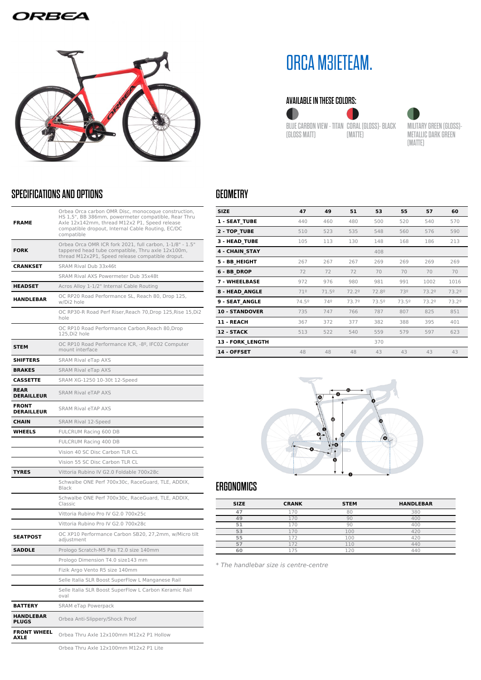## **DRBEA**



## SPECIFICATIONS AND OPTIONS

| <b>FRAME</b>                      | Orbea Orca carbon OMR Disc, monocoque construction,<br>HS 1,5", BB 386mm, powermeter compatible, Rear Thru<br>Axle 12x142mm, thread M12x2 P1, Speed release<br>compatible dropout, Internal Cable Routing, EC/DC<br>compatible |
|-----------------------------------|--------------------------------------------------------------------------------------------------------------------------------------------------------------------------------------------------------------------------------|
| <b>FORK</b>                       | Orbea Orca OMR ICR fork 2021, full carbon, 1-1/8" - 1.5"<br>tappered head tube compatible, Thru axle 12x100m,<br>thread M12x2P1, Speed release compatible droput.                                                              |
| <b>CRANKSET</b>                   | SRAM Rival Dub 33x46t                                                                                                                                                                                                          |
|                                   | SRAM Rival AXS Powermeter Dub 35x48t                                                                                                                                                                                           |
| <b>HEADSET</b>                    | Acros Alloy 1-1/2" Internal Cable Routing                                                                                                                                                                                      |
| <b>HANDLEBAR</b>                  | OC RP20 Road Performance SL, Reach 80, Drop 125,<br>w/Di2 hole                                                                                                                                                                 |
|                                   | OC RP30-R Road Perf Riser, Reach 70, Drop 125, Rise 15, Di2<br>hole                                                                                                                                                            |
|                                   | OC RP10 Road Performance Carbon, Reach 80, Drop<br>125, Di2 hole                                                                                                                                                               |
| STEM                              | OC RP10 Road Performance ICR, -8º, IFC02 Computer<br>mount interface                                                                                                                                                           |
| <b>SHIFTERS</b>                   | SRAM Rival eTap AXS                                                                                                                                                                                                            |
| <b>BRAKES</b>                     | <b>SRAM Rival eTap AXS</b>                                                                                                                                                                                                     |
| CASSETTE                          | SRAM XG-1250 10-30t 12-Speed                                                                                                                                                                                                   |
| <b>REAR</b><br>DERAILLEUR         | <b>SRAM Rival eTAP AXS</b>                                                                                                                                                                                                     |
| <b>FRONT</b><br><b>DERAILLEUR</b> | <b>SRAM Rival eTAP AXS</b>                                                                                                                                                                                                     |
| <b>CHAIN</b>                      | SRAM Rival 12-Speed                                                                                                                                                                                                            |
| WHEELS                            | FULCRUM Racing 600 DB                                                                                                                                                                                                          |
|                                   | FULCRUM Racing 400 DB                                                                                                                                                                                                          |
|                                   | Vision 40 SC Disc Carbon TLR CL                                                                                                                                                                                                |
|                                   | Vision 55 SC Disc Carbon TLR CL                                                                                                                                                                                                |
| <b>TYRES</b>                      | Vittoria Rubino IV G2.0 Foldable 700x28c                                                                                                                                                                                       |
|                                   | Schwalbe ONE Perf 700x30c, RaceGuard, TLE, ADDIX,<br>Black                                                                                                                                                                     |
|                                   | Schwalbe ONE Perf 700x30c, RaceGuard, TLE, ADDIX,<br>Classic                                                                                                                                                                   |
|                                   | Vittoria Rubino Pro IV G2.0 700x25c                                                                                                                                                                                            |
|                                   | Vittoria Rubino Pro IV G2.0 700x28c                                                                                                                                                                                            |
| <b>SEATPOST</b>                   | OC XP10 Performance Carbon SB20, 27,2mm, w/Micro tilt<br>adjustment                                                                                                                                                            |
| <b>SADDLE</b>                     | Prologo Scratch-M5 Pas T2.0 size 140mm                                                                                                                                                                                         |
|                                   | Prologo Dimension T4.0 size143 mm                                                                                                                                                                                              |
|                                   | Fizik Argo Vento R5 size 140mm                                                                                                                                                                                                 |
|                                   | Selle Italia SLR Boost SuperFlow L Manganese Rail                                                                                                                                                                              |
|                                   | Selle Italia SLR Boost SuperFlow L Carbon Keramic Rail<br>oval                                                                                                                                                                 |
| BATTERY                           | SRAM eTap Powerpack                                                                                                                                                                                                            |
| HANDLEBAR<br><b>PLUGS</b>         | Orbea Anti-Slippery/Shock Proof                                                                                                                                                                                                |
| <b>FRONT WHEEL</b><br>AXLE        | Orbea Thru Axle 12x100mm M12x2 P1 Hollow                                                                                                                                                                                       |

ORCA M31ETEAM.

#### AVAILABLE IN THESE COLORS:

BLUE CARBON VIEW - TITAN CORAL (GLOSS)- BLACK (GLOSS MATT) (MATTE)

MILITARY GREEN (GLOSS)- METALLIC DARK GREEN (MATTE)

# **GEOMETRY**

| <b>SIZE</b>             | 47    | 49             | 51    | 53    | 55    | 57    | 60    |
|-------------------------|-------|----------------|-------|-------|-------|-------|-------|
| <b>1 - SEAT TUBE</b>    | 440   | 460            | 480   | 500   | 520   | 540   | 570   |
| 2 - TOP TUBE            | 510   | 523            | 535   | 548   | 560   | 576   | 590   |
| 3 - HEAD TUBE           | 105   | 113            | 130   | 148   | 168   | 186   | 213   |
| <b>4 - CHAIN STAY</b>   |       |                |       | 408   |       |       |       |
| 5 - BB_HEIGHT           | 267   | 267            | 267   | 269   | 269   | 269   | 269   |
| 6 - BB DROP             | 72    | 72             | 72    | 70    | 70    | 70    | 70    |
| <b>7 - WHEELBASE</b>    | 972   | 976            | 980   | 981   | 991   | 1002  | 1016  |
| <b>8 - HEAD ANGLE</b>   | 71º   | $71.5^{\circ}$ | 72.2° | 72.89 | 73º   | 73.2º | 73.2° |
| 9 - SEAT ANGLE          | 74.5º | 74º            | 73.7º | 73.5º | 73.5º | 73.2º | 73.2º |
| <b>10 - STANDOVER</b>   | 735   | 747            | 766   | 787   | 807   | 825   | 851   |
| 11 - REACH              | 367   | 372            | 377   | 382   | 388   | 395   | 401   |
| 12 - STACK              | 513   | 522            | 540   | 559   | 579   | 597   | 623   |
| <b>13 - FORK LENGTH</b> |       |                |       | 370   |       |       |       |
| 14 - OFFSET             | 48    | 48             | 48    | 43    | 43    | 43    | 43    |



# ERGONOMICS

| <b>SIZE</b> | <b>CRANK</b> | <b>STEM</b> | <b>HANDLEBAR</b> |
|-------------|--------------|-------------|------------------|
|             |              |             | 380              |
|             |              |             |                  |
| Ę.          |              |             | 400              |
| 53          |              | 100         |                  |
| 55          |              | 00          |                  |
| 57          | $-$          |             | 440              |
| 60          | à.           |             | 44(              |

\* The handlebar size is centre-centre

Orbea Thru Axle 12x100mm M12x2 P1 Lite